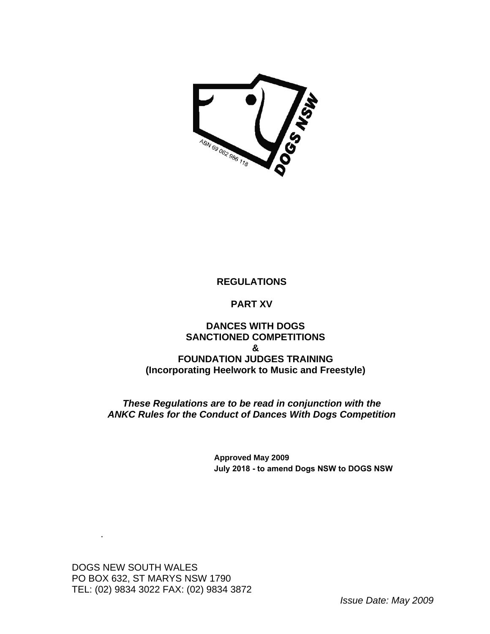

# **REGULATIONS**

# **PART XV**

# **DANCES WITH DOGS SANCTIONED COMPETITIONS & FOUNDATION JUDGES TRAINING (Incorporating Heelwork to Music and Freestyle)**

*These Regulations are to be read in conjunction with the ANKC Rules for the Conduct of Dances With Dogs Competition* 

> **Approved May 2009 July 2018 to amend Dogs NSW to DOGS NSW**

DOGS NEW SOUTH WALES PO BOX 632, ST MARYS NSW 1790 TEL: (02) 9834 3022 FAX: (02) 9834 3872

.

*Issue Date: May 2009*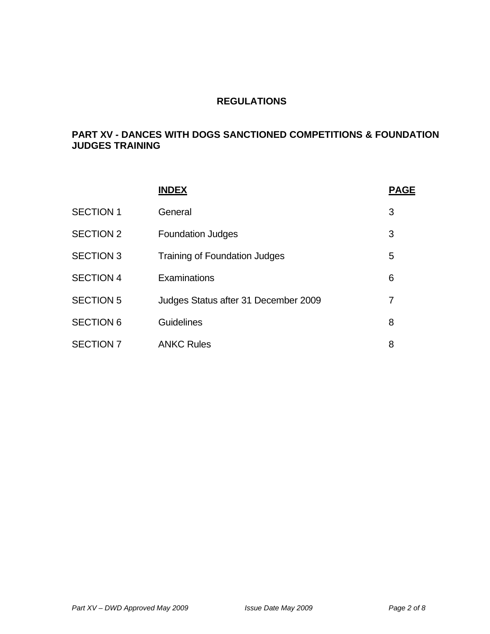# **REGULATIONS**

# **PART XV - DANCES WITH DOGS SANCTIONED COMPETITIONS & FOUNDATION JUDGES TRAINING**

|                  | <b>INDEX</b>                         | <b>PAGE</b> |
|------------------|--------------------------------------|-------------|
| <b>SECTION 1</b> | General                              | 3           |
| <b>SECTION 2</b> | <b>Foundation Judges</b>             | 3           |
| <b>SECTION 3</b> | <b>Training of Foundation Judges</b> | 5           |
| <b>SECTION 4</b> | Examinations                         | 6           |
| <b>SECTION 5</b> | Judges Status after 31 December 2009 | 7           |
| <b>SECTION 6</b> | <b>Guidelines</b>                    | 8           |
| <b>SECTION 7</b> | <b>ANKC Rules</b>                    | 8           |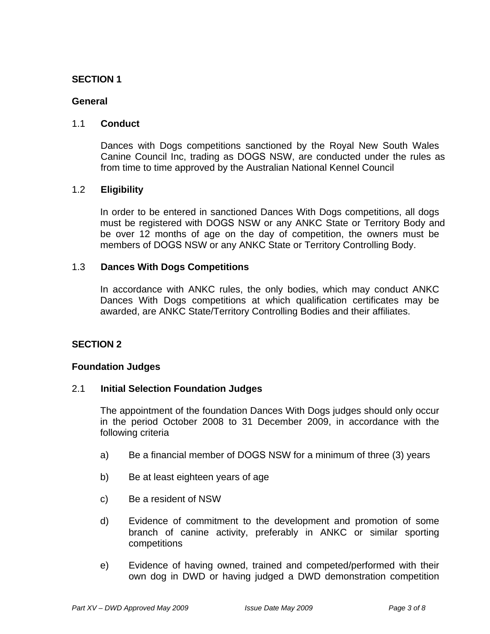### **General**

# 1.1 **Conduct**

 Dances with Dogs competitions sanctioned by the Royal New South Wales Canine Council Inc, trading as DOGS NSW, are conducted under the rules as from time to time approved by the Australian National Kennel Council

# 1.2 **Eligibility**

In order to be entered in sanctioned Dances With Dogs competitions, all dogs must be registered with DOGS NSW or any ANKC State or Territory Body and be over 12 months of age on the day of competition, the owners must be members of DOGS NSW or any ANKC State or Territory Controlling Body.

### 1.3 **Dances With Dogs Competitions**

In accordance with ANKC rules, the only bodies, which may conduct ANKC Dances With Dogs competitions at which qualification certificates may be awarded, are ANKC State/Territory Controlling Bodies and their affiliates.

# **SECTION 2**

### **Foundation Judges**

### 2.1 **Initial Selection Foundation Judges**

The appointment of the foundation Dances With Dogs judges should only occur in the period October 2008 to 31 December 2009, in accordance with the following criteria

- a) Be a financial member of DOGS NSW for a minimum of three (3) years
- b) Be at least eighteen years of age
- c) Be a resident of NSW
- d) Evidence of commitment to the development and promotion of some branch of canine activity, preferably in ANKC or similar sporting competitions
- e) Evidence of having owned, trained and competed/performed with their own dog in DWD or having judged a DWD demonstration competition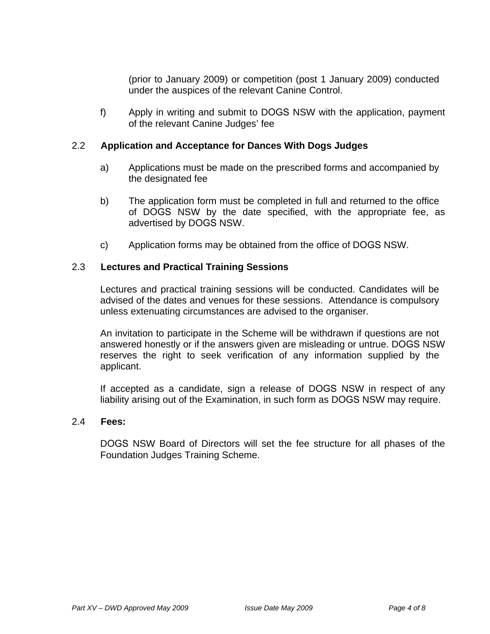(prior to January 2009) or competition (post 1 January 2009) conducted under the auspices of the relevant Canine Control.

f) Apply in writing and submit to DOGS NSW with the application, payment of the relevant Canine Judges' fee

#### 2.2 **Application and Acceptance for Dances With Dogs Judges**

- a) Applications must be made on the prescribed forms and accompanied by the designated fee
- b) The application form must be completed in full and returned to the office of DOGS NSW by the date specified, with the appropriate fee, as advertised by DOGS NSW.
- c) Application forms may be obtained from the office of DOGS NSW.

#### 2.3 **Lectures and Practical Training Sessions**

Lectures and practical training sessions will be conducted. Candidates will be advised of the dates and venues for these sessions. Attendance is compulsory unless extenuating circumstances are advised to the organiser.

An invitation to participate in the Scheme will be withdrawn if questions are not answered honestly or if the answers given are misleading or untrue. DOGS NSW reserves the right to seek verification of any information supplied by the applicant.

If accepted as a candidate, sign a release of DOGS NSW in respect of any liability arising out of the Examination, in such form as DOGS NSW may require.

#### 2.4 **Fees:**

DOGS NSW Board of Directors will set the fee structure for all phases of the Foundation Judges Training Scheme.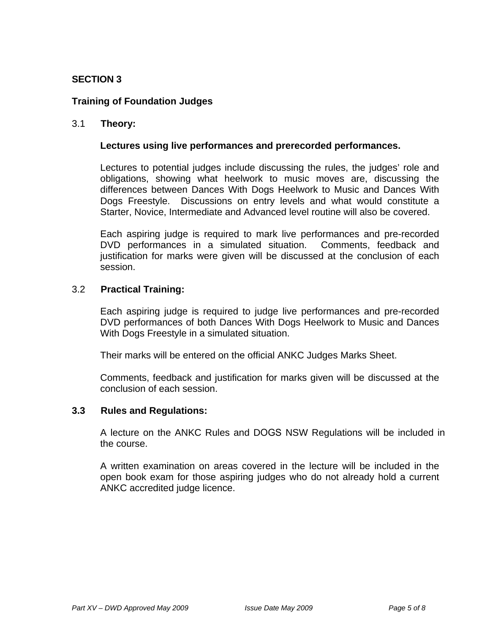# **Training of Foundation Judges**

### 3.1 **Theory:**

#### **Lectures using live performances and prerecorded performances.**

Lectures to potential judges include discussing the rules, the judges' role and obligations, showing what heelwork to music moves are, discussing the differences between Dances With Dogs Heelwork to Music and Dances With Dogs Freestyle. Discussions on entry levels and what would constitute a Starter, Novice, Intermediate and Advanced level routine will also be covered.

Each aspiring judge is required to mark live performances and pre-recorded DVD performances in a simulated situation. Comments, feedback and justification for marks were given will be discussed at the conclusion of each session.

#### 3.2 **Practical Training:**

Each aspiring judge is required to judge live performances and pre-recorded DVD performances of both Dances With Dogs Heelwork to Music and Dances With Dogs Freestyle in a simulated situation.

Their marks will be entered on the official ANKC Judges Marks Sheet.

Comments, feedback and justification for marks given will be discussed at the conclusion of each session.

#### **3.3 Rules and Regulations:**

A lecture on the ANKC Rules and DOGS NSW Regulations will be included in the course.

A written examination on areas covered in the lecture will be included in the open book exam for those aspiring judges who do not already hold a current ANKC accredited judge licence.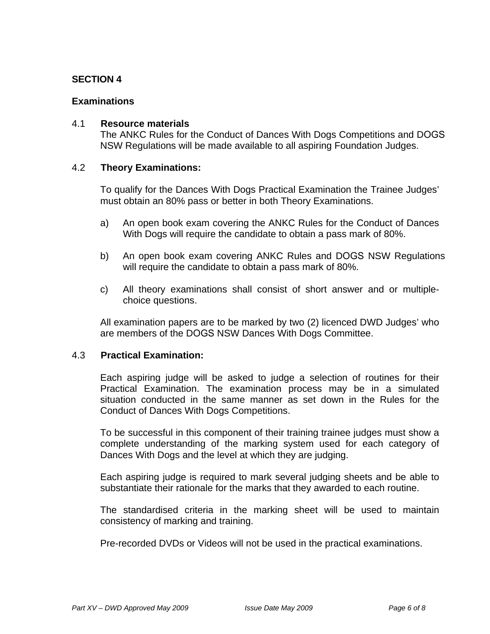#### **Examinations**

#### 4.1 **Resource materials**

The ANKC Rules for the Conduct of Dances With Dogs Competitions and DOGS NSW Regulations will be made available to all aspiring Foundation Judges.

#### 4.2 **Theory Examinations:**

To qualify for the Dances With Dogs Practical Examination the Trainee Judges' must obtain an 80% pass or better in both Theory Examinations.

- a) An open book exam covering the ANKC Rules for the Conduct of Dances With Dogs will require the candidate to obtain a pass mark of 80%.
- b) An open book exam covering ANKC Rules and DOGS NSW Regulations will require the candidate to obtain a pass mark of 80%.
- c) All theory examinations shall consist of short answer and or multiplechoice questions.

All examination papers are to be marked by two (2) licenced DWD Judges' who are members of the DOGS NSW Dances With Dogs Committee.

#### 4.3 **Practical Examination:**

Each aspiring judge will be asked to judge a selection of routines for their Practical Examination. The examination process may be in a simulated situation conducted in the same manner as set down in the Rules for the Conduct of Dances With Dogs Competitions.

To be successful in this component of their training trainee judges must show a complete understanding of the marking system used for each category of Dances With Dogs and the level at which they are judging.

Each aspiring judge is required to mark several judging sheets and be able to substantiate their rationale for the marks that they awarded to each routine.

The standardised criteria in the marking sheet will be used to maintain consistency of marking and training.

Pre-recorded DVDs or Videos will not be used in the practical examinations.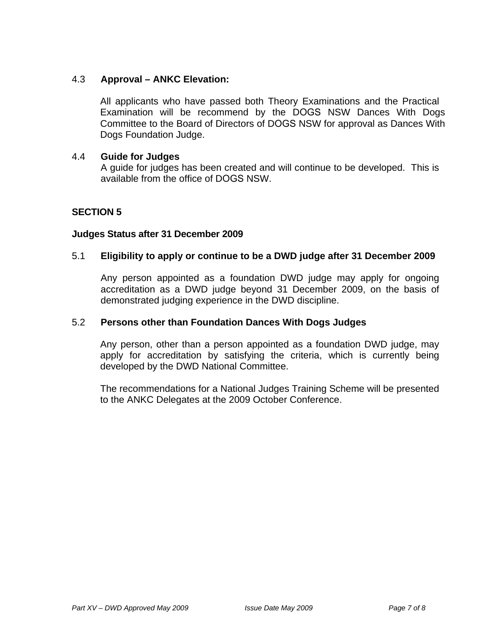# 4.3 **Approval – ANKC Elevation:**

All applicants who have passed both Theory Examinations and the Practical Examination will be recommend by the DOGS NSW Dances With Dogs Committee to the Board of Directors of DOGS NSW for approval as Dances With Dogs Foundation Judge.

#### 4.4 **Guide for Judges**

A guide for judges has been created and will continue to be developed. This is available from the office of DOGS NSW.

# **SECTION 5**

#### **Judges Status after 31 December 2009**

#### 5.1 **Eligibility to apply or continue to be a DWD judge after 31 December 2009**

Any person appointed as a foundation DWD judge may apply for ongoing accreditation as a DWD judge beyond 31 December 2009, on the basis of demonstrated judging experience in the DWD discipline.

#### 5.2 **Persons other than Foundation Dances With Dogs Judges**

Any person, other than a person appointed as a foundation DWD judge, may apply for accreditation by satisfying the criteria, which is currently being developed by the DWD National Committee.

The recommendations for a National Judges Training Scheme will be presented to the ANKC Delegates at the 2009 October Conference.